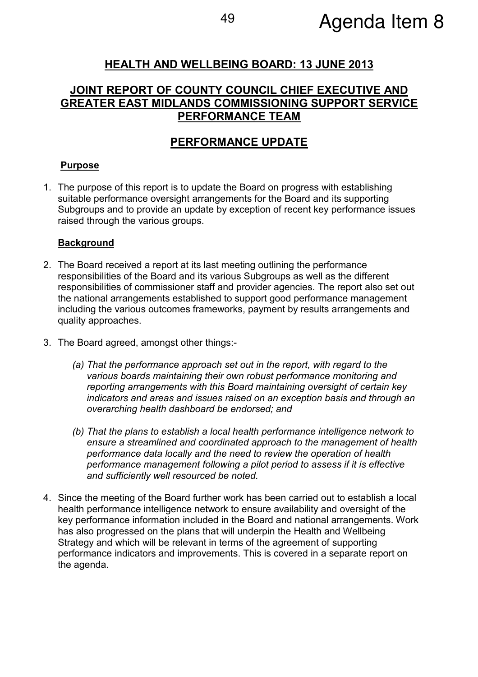# HEALTH AND WELLBEING BOARD: 13 JUNE 2013

# JOINT REPORT OF COUNTY COUNCIL CHIEF EXECUTIVE AND GREATER EAST MIDLANDS COMMISSIONING SUPPORT SERVICE PERFORMANCE TEAM

## PERFORMANCE UPDATE

### Purpose

1. The purpose of this report is to update the Board on progress with establishing suitable performance oversight arrangements for the Board and its supporting Subgroups and to provide an update by exception of recent key performance issues raised through the various groups.

#### **Background**

- 2. The Board received a report at its last meeting outlining the performance responsibilities of the Board and its various Subgroups as well as the different responsibilities of commissioner staff and provider agencies. The report also set out the national arrangements established to support good performance management including the various outcomes frameworks, payment by results arrangements and quality approaches.
- 3. The Board agreed, amongst other things:-
	- (a) That the performance approach set out in the report, with regard to the various boards maintaining their own robust performance monitoring and reporting arrangements with this Board maintaining oversight of certain key indicators and areas and issues raised on an exception basis and through an overarching health dashboard be endorsed; and
	- (b) That the plans to establish a local health performance intelligence network to ensure a streamlined and coordinated approach to the management of health performance data locally and the need to review the operation of health performance management following a pilot period to assess if it is effective and sufficiently well resourced be noted.
- 4. Since the meeting of the Board further work has been carried out to establish a local health performance intelligence network to ensure availability and oversight of the key performance information included in the Board and national arrangements. Work has also progressed on the plans that will underpin the Health and Wellbeing Strategy and which will be relevant in terms of the agreement of supporting performance indicators and improvements. This is covered in a separate report on the agenda.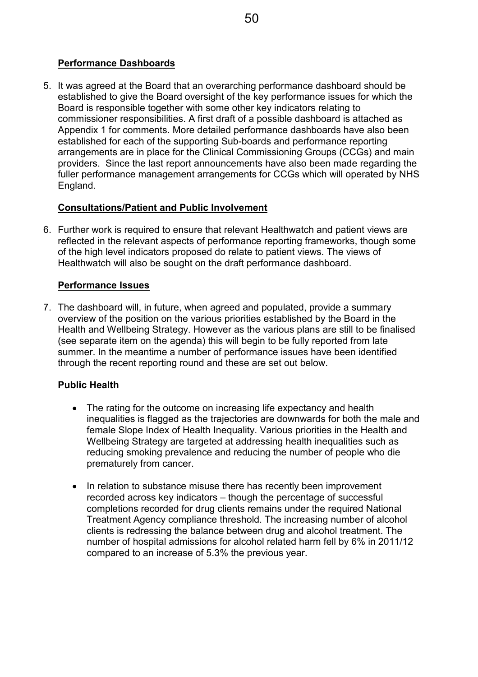## Performance Dashboards

5. It was agreed at the Board that an overarching performance dashboard should be established to give the Board oversight of the key performance issues for which the Board is responsible together with some other key indicators relating to commissioner responsibilities. A first draft of a possible dashboard is attached as Appendix 1 for comments. More detailed performance dashboards have also been established for each of the supporting Sub-boards and performance reporting arrangements are in place for the Clinical Commissioning Groups (CCGs) and main providers. Since the last report announcements have also been made regarding the fuller performance management arrangements for CCGs which will operated by NHS England.

## Consultations/Patient and Public Involvement

6. Further work is required to ensure that relevant Healthwatch and patient views are reflected in the relevant aspects of performance reporting frameworks, though some of the high level indicators proposed do relate to patient views. The views of Healthwatch will also be sought on the draft performance dashboard.

## Performance Issues

7. The dashboard will, in future, when agreed and populated, provide a summary overview of the position on the various priorities established by the Board in the Health and Wellbeing Strategy. However as the various plans are still to be finalised (see separate item on the agenda) this will begin to be fully reported from late summer. In the meantime a number of performance issues have been identified through the recent reporting round and these are set out below.

## Public Health

- The rating for the outcome on increasing life expectancy and health inequalities is flagged as the trajectories are downwards for both the male and female Slope Index of Health Inequality. Various priorities in the Health and Wellbeing Strategy are targeted at addressing health inequalities such as reducing smoking prevalence and reducing the number of people who die prematurely from cancer.
- In relation to substance misuse there has recently been improvement recorded across key indicators – though the percentage of successful completions recorded for drug clients remains under the required National Treatment Agency compliance threshold. The increasing number of alcohol clients is redressing the balance between drug and alcohol treatment. The number of hospital admissions for alcohol related harm fell by 6% in 2011/12 compared to an increase of 5.3% the previous year.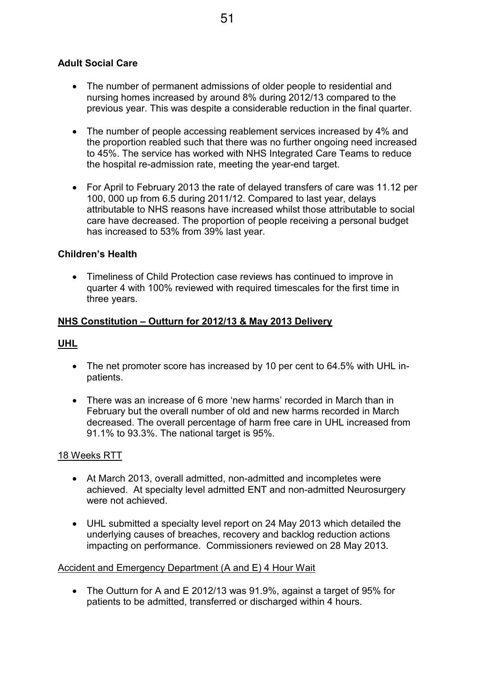## Adult Social Care

- The number of permanent admissions of older people to residential and nursing homes increased by around 8% during 2012/13 compared to the previous year. This was despite a considerable reduction in the final quarter.
- The number of people accessing reablement services increased by 4% and the proportion reabled such that there was no further ongoing need increased to 45%. The service has worked with NHS Integrated Care Teams to reduce the hospital re-admission rate, meeting the year-end target.
- For April to February 2013 the rate of delayed transfers of care was 11.12 per 100, 000 up from 6.5 during 2011/12. Compared to last year, delays attributable to NHS reasons have increased whilst those attributable to social care have decreased. The proportion of people receiving a personal budget has increased to 53% from 39% last year.

#### Children's Health

• Timeliness of Child Protection case reviews has continued to improve in quarter 4 with 100% reviewed with required timescales for the first time in three years.

#### NHS Constitution – Outturn for 2012/13 & May 2013 Delivery

#### UHL

- The net promoter score has increased by 10 per cent to 64.5% with UHL inpatients.
- There was an increase of 6 more 'new harms' recorded in March than in February but the overall number of old and new harms recorded in March decreased. The overall percentage of harm free care in UHL increased from 91.1% to 93.3%. The national target is 95%.

#### 18 Weeks RTT

- At March 2013, overall admitted, non-admitted and incompletes were achieved. At specialty level admitted ENT and non-admitted Neurosurgery were not achieved.
- UHL submitted a specialty level report on 24 May 2013 which detailed the underlying causes of breaches, recovery and backlog reduction actions impacting on performance. Commissioners reviewed on 28 May 2013.

#### Accident and Emergency Department (A and E) 4 Hour Wait

• The Outturn for A and E 2012/13 was 91.9%, against a target of 95% for patients to be admitted, transferred or discharged within 4 hours.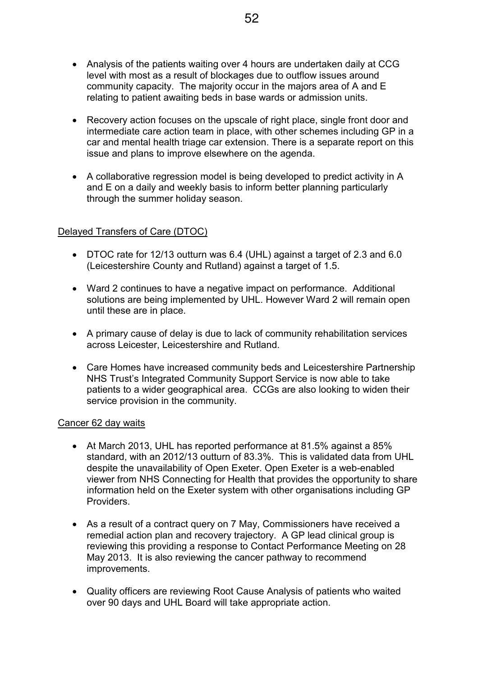- Analysis of the patients waiting over 4 hours are undertaken daily at CCG level with most as a result of blockages due to outflow issues around community capacity. The majority occur in the majors area of A and E relating to patient awaiting beds in base wards or admission units.
- Recovery action focuses on the upscale of right place, single front door and intermediate care action team in place, with other schemes including GP in a car and mental health triage car extension. There is a separate report on this issue and plans to improve elsewhere on the agenda.
- A collaborative regression model is being developed to predict activity in A and E on a daily and weekly basis to inform better planning particularly through the summer holiday season.

#### Delayed Transfers of Care (DTOC)

- DTOC rate for 12/13 outturn was 6.4 (UHL) against a target of 2.3 and 6.0 (Leicestershire County and Rutland) against a target of 1.5.
- Ward 2 continues to have a negative impact on performance. Additional solutions are being implemented by UHL. However Ward 2 will remain open until these are in place.
- A primary cause of delay is due to lack of community rehabilitation services across Leicester, Leicestershire and Rutland.
- Care Homes have increased community beds and Leicestershire Partnership NHS Trust's Integrated Community Support Service is now able to take patients to a wider geographical area. CCGs are also looking to widen their service provision in the community.

#### Cancer 62 day waits

- At March 2013, UHL has reported performance at 81.5% against a 85% standard, with an 2012/13 outturn of 83.3%. This is validated data from UHL despite the unavailability of Open Exeter. Open Exeter is a web-enabled viewer from NHS Connecting for Health that provides the opportunity to share information held on the Exeter system with other organisations including GP **Providers**
- As a result of a contract query on 7 May, Commissioners have received a remedial action plan and recovery trajectory. A GP lead clinical group is reviewing this providing a response to Contact Performance Meeting on 28 May 2013. It is also reviewing the cancer pathway to recommend improvements.
- Quality officers are reviewing Root Cause Analysis of patients who waited over 90 days and UHL Board will take appropriate action.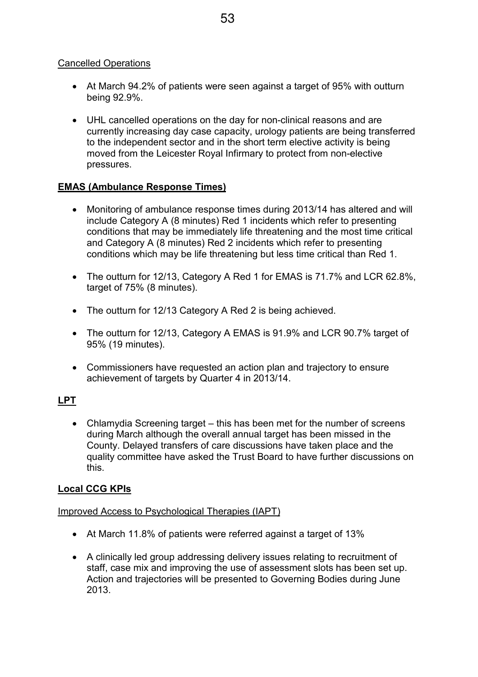### Cancelled Operations

- At March 94.2% of patients were seen against a target of 95% with outturn being 92.9%.
- UHL cancelled operations on the day for non-clinical reasons and are currently increasing day case capacity, urology patients are being transferred to the independent sector and in the short term elective activity is being moved from the Leicester Royal Infirmary to protect from non-elective pressures.

## EMAS (Ambulance Response Times)

- Monitoring of ambulance response times during 2013/14 has altered and will include Category A (8 minutes) Red 1 incidents which refer to presenting conditions that may be immediately life threatening and the most time critical and Category A (8 minutes) Red 2 incidents which refer to presenting conditions which may be life threatening but less time critical than Red 1.
- The outturn for 12/13, Category A Red 1 for EMAS is 71.7% and LCR 62.8%, target of 75% (8 minutes).
- The outturn for 12/13 Category A Red 2 is being achieved.
- The outturn for 12/13, Category A EMAS is 91.9% and LCR 90.7% target of 95% (19 minutes).
- Commissioners have requested an action plan and trajectory to ensure achievement of targets by Quarter 4 in 2013/14.

## LPT

• Chlamydia Screening target – this has been met for the number of screens during March although the overall annual target has been missed in the County. Delayed transfers of care discussions have taken place and the quality committee have asked the Trust Board to have further discussions on this.

## Local CCG KPIs

#### Improved Access to Psychological Therapies (IAPT)

- At March 11.8% of patients were referred against a target of 13%
- A clinically led group addressing delivery issues relating to recruitment of staff, case mix and improving the use of assessment slots has been set up. Action and trajectories will be presented to Governing Bodies during June 2013.